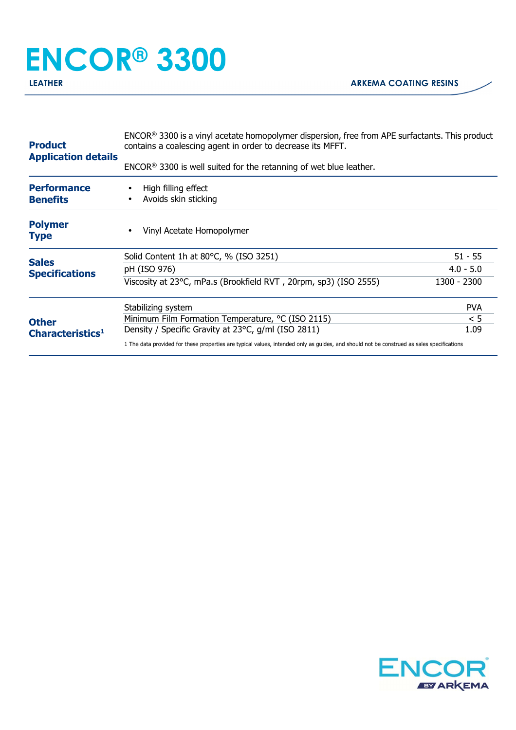## **ENCOR® 3300**

| <b>Product</b><br><b>Application details</b>                                          | ENCOR <sup>®</sup> 3300 is a vinyl acetate homopolymer dispersion, free from APE surfactants. This product<br>contains a coalescing agent in order to decrease its MFFT.<br>$ENCOR®$ 3300 is well suited for the retanning of wet blue leather. |             |
|---------------------------------------------------------------------------------------|-------------------------------------------------------------------------------------------------------------------------------------------------------------------------------------------------------------------------------------------------|-------------|
| <b>Performance</b><br><b>Benefits</b>                                                 | High filling effect<br>Avoids skin sticking                                                                                                                                                                                                     |             |
| <b>Polymer</b><br><b>Type</b>                                                         | Vinyl Acetate Homopolymer                                                                                                                                                                                                                       |             |
|                                                                                       | Solid Content 1h at 80°C, % (ISO 3251)                                                                                                                                                                                                          | $51 - 55$   |
| <b>Sales</b><br><b>Specifications</b><br><b>Other</b><br>Characteristics <sup>1</sup> | pH (ISO 976)                                                                                                                                                                                                                                    | $4.0 - 5.0$ |
|                                                                                       | Viscosity at 23°C, mPa.s (Brookfield RVT, 20rpm, sp3) (ISO 2555)                                                                                                                                                                                | 1300 - 2300 |
|                                                                                       | Stabilizing system                                                                                                                                                                                                                              | <b>PVA</b>  |
|                                                                                       | Minimum Film Formation Temperature, °C (ISO 2115)                                                                                                                                                                                               | < 5         |
|                                                                                       | Density / Specific Gravity at 23°C, g/ml (ISO 2811)                                                                                                                                                                                             | 1.09        |
|                                                                                       | 1 The data provided for these properties are typical values, intended only as guides, and should not be construed as sales specifications                                                                                                       |             |